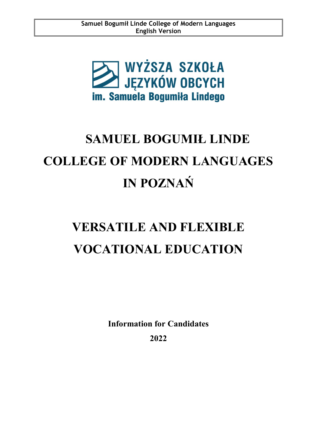

# **SAMUEL BOGUMIŁ LINDE COLLEGE OF MODERN LANGUAGES IN POZNAŃ**

# **VERSATILE AND FLEXIBLE VOCATIONAL EDUCATION**

**Information for Candidates 2022**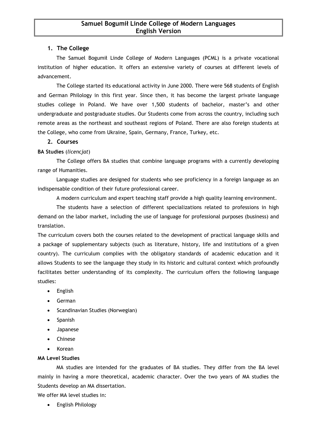#### **1. The College**

The Samuel Bogumił Linde College of Modern Languages (PCML) is a private vocational institution of higher education. It offers an extensive variety of courses at different levels of advancement.

The College started its educational activity in June 2000. There were 568 students of English and German Philology in this first year. Since then, it has become the largest private language studies college in Poland. We have over 1,500 students of bachelor, master's and other undergraduate and postgraduate studies. Our Students come from across the country, including such remote areas as the northeast and southeast regions of Poland. There are also foreign students at the College, who come from Ukraine, Spain, Germany, France, Turkey, etc.

#### **2. Courses**

#### **BA Studies** (*licencjat*)

The College offers BA studies that combine language programs with a currently developing range of Humanities.

Language studies are designed for students who see proficiency in a foreign language as an indispensable condition of their future professional career.

A modern curriculum and expert teaching staff provide a high quality learning environment.

The students have a selection of different specializations related to professions in high demand on the labor market, including the use of language for professional purposes (business) and translation.

The curriculum covers both the courses related to the development of practical language skills and a package of supplementary subjects (such as literature, history, life and institutions of a given country). The curriculum complies with the obligatory standards of academic education and it allows Students to see the language they study in its historic and cultural context which profoundly facilitates better understanding of its complexity. The curriculum offers the following language studies:

- English
- German
- Scandinavian Studies (Norwegian)
- Spanish
- Japanese
- Chinese
- Korean

#### **MA Level Studies**

MA studies are intended for the graduates of BA studies. They differ from the BA level mainly in having a more theoretical, academic character. Over the two years of MA studies the Students develop an MA dissertation.

We offer MA level studies in:

English Philology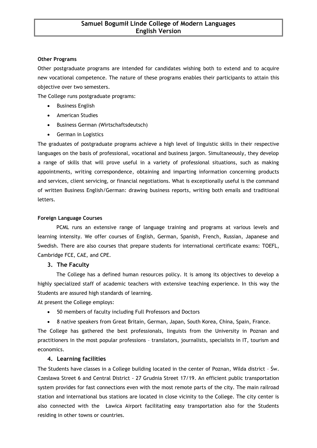#### **Other Programs**

Other postgraduate programs are intended for candidates wishing both to extend and to acquire new vocational competence. The nature of these programs enables their participants to attain this objective over two semesters.

The College runs postgraduate programs:

- Business English
- American Studies
- Business German (Wirtschaftsdeutsch)
- **•** German in Logistics

The graduates of postgraduate programs achieve a high level of linguistic skills in their respective languages on the basis of professional, vocational and business jargon. Simultaneously, they develop a range of skills that will prove useful in a variety of professional situations, such as making appointments, writing correspondence, obtaining and imparting information concerning products and services, client servicing, or financial negotiations. What is exceptionally useful is the command of written Business English/German: drawing business reports, writing both emails and traditional letters.

#### **Foreign Language Courses**

PCML runs an extensive range of language training and programs at various levels and learning intensity. We offer courses of English, German, Spanish, French, Russian, Japanese and Swedish. There are also courses that prepare students for international certificate exams: TOEFL, Cambridge FCE, CAE, and CPE.

#### **3. The Faculty**

The College has a defined human resources policy. It is among its objectives to develop a highly specialized staff of academic teachers with extensive teaching experience. In this way the Students are assured high standards of learning.

At present the College employs:

- 50 members of faculty including Full Professors and Doctors
- 8 native speakers from Great Britain, German, Japan, South Korea, China, Spain, France.

The College has gathered the best professionals, linguists from the University in Poznan and practitioners in the most popular professions – translators, journalists, specialists in IT, tourism and economics.

#### **4. Learning facilities**

The Students have classes in a College building located in the center of Poznan, Wilda district – Św. Czesława Street 6 and Central District - 27 Grudnia Street 17/19. An efficient public transportation system provides for fast connections even with the most remote parts of the city. The main railroad station and international bus stations are located in close vicinity to the College. The city center is also connected with the Ławica Airport facilitating easy transportation also for the Students residing in other towns or countries.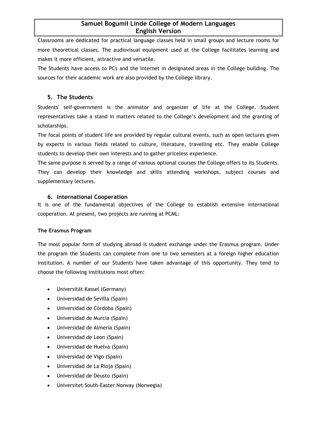## **Samuel Bogumił Linde College of Modern Languages English Version**

Classrooms are dedicated for practical language classes held in small groups and lecture rooms for more theoretical classes. The audiovisual equipment used at the College facilitates learning and makes it more efficient, attractive and versatile.

The Students have access to PCs and the Internet in designated areas in the College building. The sources for their academic work are also provided by the College library.

### **5. The Students**

Students' self-government is the animator and organizer of life at the College. Student representatives take a stand in matters related to the College's development and the granting of scholarships.

The focal points of student life are provided by regular cultural events, such as open lectures given by experts in various fields related to culture, literature, travelling etc. They enable College students to develop their own interests and to gather priceless experience.

The same purpose is served by a range of various optional courses the College offers to its Students. They can develop their knowledge and skills attending workshops, subject courses and supplementary lectures.

#### **6. International Cooperation**

It is one of the fundamental objectives of the College to establish extensive international cooperation. At present, two projects are running at PCML:

#### **The Erasmus Program**

The most popular form of studying abroad is student exchange under the Erasmus program. Under the program the Students can complete from one to two semesters at a foreign higher education institution. A number of our Students have taken advantage of this opportunity. They tend to choose the following institutions most often:

- Universität Kassel (Germany)
- Universidad de Sevilla (Spain)
- Universidad de Córdoba (Spain)
- Universidad de Murcia (Spain)
- Universidad de Almeria (Spain)
- Universidad de Leon (Spain)
- Universidad de Huelva (Spain)
- Universidad de Vigo (Spain)
- Universidad de La Rioja (Spain)
- Universidad de Deusto (Spain)
- Universitet South-Easter Norway (Norwegia)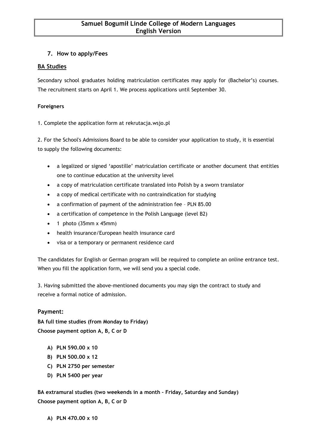# **7. How to apply/Fees**

# **BA Studies**

Secondary school graduates holding matriculation certificates may apply for (Bachelor's) courses. The recruitment starts on April 1. We process applications until September 30.

#### **Foreigners**

1. Complete the application form at rekrutacja.wsjo.pl

2. For the School's Admissions Board to be able to consider your application to study, it is essential to supply the following documents:

- a legalized or signed 'apostille' matriculation certificate or another document that entitles one to continue education at the university level
- a copy of matriculation certificate translated into Polish by a sworn translator
- a copy of medical certificate with no contraindication for studying
- a confirmation of payment of the administration fee PLN 85.00
- a certification of competence in the Polish Language (level B2)
- $\bullet$  1 photo (35mm x 45mm)
- health insurance/European health insurance card
- visa or a temporary or permanent residence card

The candidates for English or German program will be required to complete an online entrance test. When you fill the application form, we will send you a special code.

3. Having submitted the above-mentioned documents you may sign the contract to study and receive a formal notice of admission.

#### **Payment:**

**BA full time studies (from Monday to Friday) Choose payment option A, B, C or D**

- **A) PLN 590.00 x 10**
- **B) PLN 500.00 x 12**
- **C) PLN 2750 per semester**
- **D) PLN 5400 per year**

**BA extramural studies (two weekends in a month – Friday, Saturday and Sunday) Choose payment option A, B, C or D**

**A) PLN 470.00 x 10**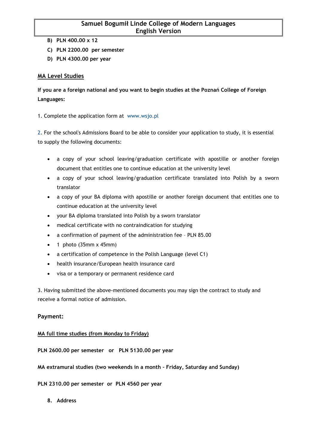## **Samuel Bogumił Linde College of Modern Languages English Version**

- **B) PLN 400.00 x 12**
- **C) PLN 2200.00 per semester**
- **D) PLN 4300.00 per year**

#### **MA Level Studies**

**If you are a foreign national and you want to begin studies at the Poznań College of Foreign Languages:**

1. Complete the application form at www.wsjo.pl

2. For the school's Admissions Board to be able to consider your application to study, it is essential to supply the following documents:

- a copy of your school leaving/graduation certificate with apostille or another foreign document that entitles one to continue education at the university level
- a copy of your school leaving/graduation certificate translated into Polish by a sworn translator
- a copy of your BA diploma with apostille or another foreign document that entitles one to continue education at the university level
- your BA diploma translated into Polish by a sworn translator
- medical certificate with no contraindication for studying
- a confirmation of payment of the administration fee PLN 85.00
- $\bullet$  1 photo (35mm x 45mm)
- a certification of competence in the Polish Language (level C1)
- health insurance/European health insurance card
- visa or a temporary or permanent residence card

3. Having submitted the above-mentioned documents you may sign the contract to study and receive a formal notice of admission.

#### **Payment:**

#### **MA full time studies (from Monday to Friday)**

**PLN 2600.00 per semester or PLN 5130.00 per year**

**MA extramural studies (two weekends in a month – Friday, Saturday and Sunday)**

**PLN 2310.00 per semester or PLN 4560 per year**

**8. Address**